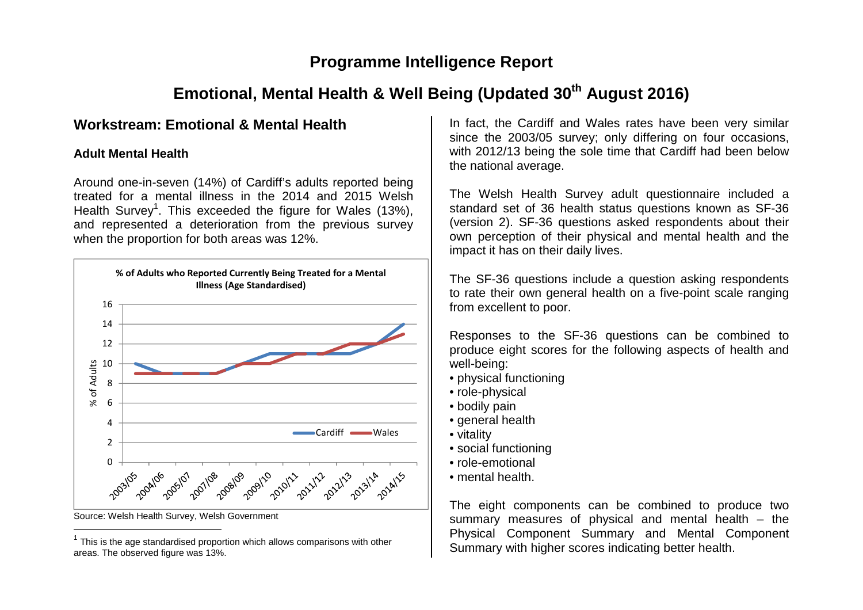## **Programme Intelligence Report**

# **Emotional, Mental Health & Well Being (Updated 30th August 2016)**

## **Workstream: Emotional & Mental Health**

### **Adult Mental Health**

Around one-in-seven (14%) of Cardiff's adults reported being treated for a mental illness in the 2014 and 2015 Welsh Health Survey<sup>1</sup>. This exceeded the figure for Wales (13%), and represented a deterioration from the previous survey when the proportion for both areas was 12%.



Source: Welsh Health Survey, Welsh Government

In fact, the Cardiff and Wales rates have been very similar since the 2003/05 survey; only differing on four occasions, with 2012/13 being the sole time that Cardiff had been below the national average.

The Welsh Health Survey adult questionnaire included a standard set of 36 health status questions known as SF-36 (version 2). SF-36 questions asked respondents about their own perception of their physical and mental health and the impact it has on their daily lives.

The SF-36 questions include a question asking respondents to rate their own general health on a five-point scale ranging from excellent to poor.

Responses to the SF-36 questions can be combined to produce eight scores for the following aspects of health and well-being:

- physical functioning
- role-physical
- bodily pain
- general health
- vitality
- social functioning
- role-emotional
- mental health.

The eight components can be combined to produce two summary measures of physical and mental health – the Physical Component Summary and Mental Component Summary with higher scores indicating better health.

 $1$  This is the age standardised proportion which allows comparisons with other areas. The observed figure was 13%.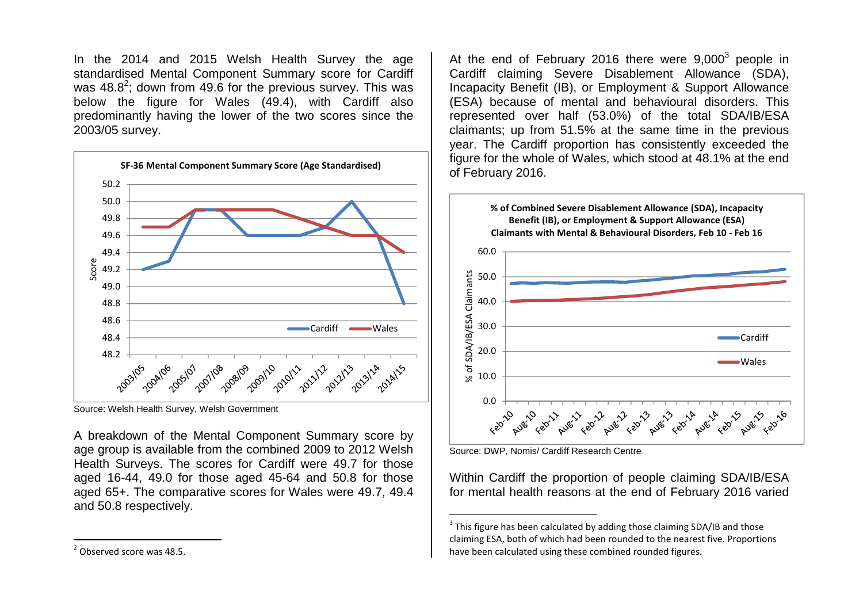In the 2014 and 2015 Welsh Health Survey the age standardised Mental Component Summary score for Cardiff was 48.8<sup>2</sup>; down from 49.6 for the previous survey. This was below the figure for Wales (49.4), with Cardiff also predominantly having the lower of the two scores since the 2003/05 survey.



Source: Welsh Health Survey, Welsh Government

A breakdown of the Mental Component Summary score by age group is available from the combined 2009 to 2012 Welsh Health Surveys. The scores for Cardiff were 49.7 for those aged 16-44, 49.0 for those aged 45-64 and 50.8 for those aged 65+. The comparative scores for Wales were 49.7, 49.4 and 50.8 respectively.

At the end of February 2016 there were  $9,000^3$  people in Cardiff claiming Severe Disablement Allowance (SDA), Incapacity Benefit (IB), or Employment & Support Allowance (ESA) because of mental and behavioural disorders. This represented over half (53.0%) of the total SDA/IB/ESA claimants; up from 51.5% at the same time in the previous year. The Cardiff proportion has consistently exceeded the figure for the whole of Wales, which stood at 48.1% at the end of February 2016.



Source: DWP, Nomis/ Cardiff Research Centre

Within Cardiff the proportion of people claiming SDA/IB/ESA for mental health reasons at the end of February 2016 varied

<sup>&</sup>lt;sup>3</sup> This figure has been calculated by adding those claiming SDA/IB and those claiming ESA, both of which had been rounded to the nearest five. Proportions have been calculated using these combined rounded figures.

<sup>2</sup> Observed score was 48.5.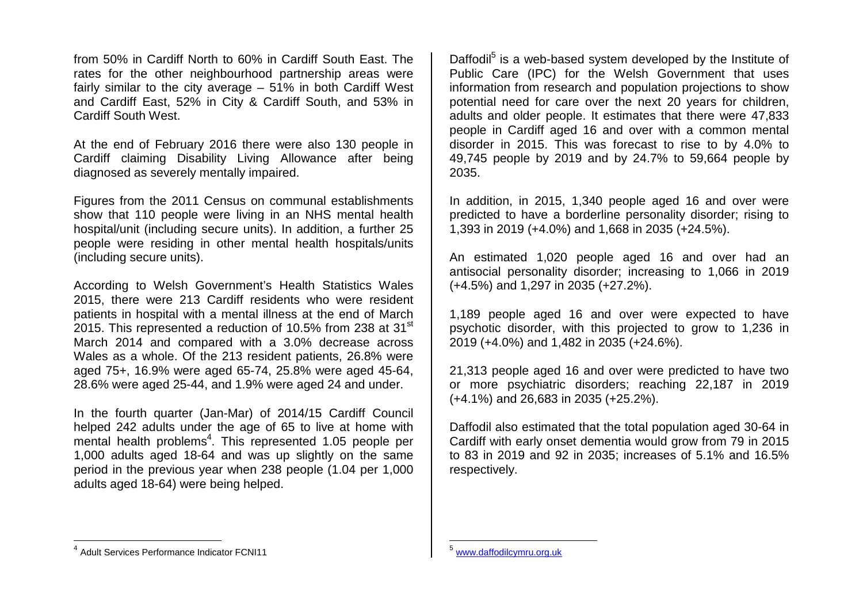from 50% in Cardiff North to 60% in Cardiff South East. The rates for the other neighbourhood partnership areas were fairly similar to the city average – 51% in both Cardiff West and Cardiff East, 52% in City & Cardiff South, and 53% in Cardiff South West.

At the end of February 2016 there were also 130 people in Cardiff claiming Disability Living Allowance after being diagnosed as severely mentally impaired.

Figures from the 2011 Census on communal establishments show that 110 people were living in an NHS mental health hospital/unit (including secure units). In addition, a further 25 people were residing in other mental health hospitals/units (including secure units).

According to Welsh Government's Health Statistics Wales 2015, there were 213 Cardiff residents who were resident patients in hospital with a mental illness at the end of March 2015. This represented a reduction of 10.5% from 238 at 31 $^{\rm st}$ March 2014 and compared with a 3.0% decrease across Wales as a whole. Of the 213 resident patients, 26.8% were aged 75+, 16.9% were aged 65-74, 25.8% were aged 45-64, 28.6% were aged 25-44, and 1.9% were aged 24 and under.

In the fourth quarter (Jan-Mar) of 2014/15 Cardiff Council helped 242 adults under the age of 65 to live at home with mental health problems<sup>4</sup>. This represented 1.05 people per 1,000 adults aged 18-64 and was up slightly on the same period in the previous year when 238 people (1.04 per 1,000 adults aged 18-64) were being helped.

Daffodil<sup>5</sup> is a web-based system developed by the Institute of Public Care (IPC) for the Welsh Government that uses information from research and population projections to show potential need for care over the next 20 years for children, adults and older people. It estimates that there were 47,833 people in Cardiff aged 16 and over with a common mental disorder in 2015. This was forecast to rise to by 4.0% to 49,745 people by 2019 and by 24.7% to 59,664 people by 2035.

In addition, in 2015, 1,340 people aged 16 and over were predicted to have a borderline personality disorder; rising to 1,393 in 2019 (+4.0%) and 1,668 in 2035 (+24.5%).

An estimated 1,020 people aged 16 and over had an antisocial personality disorder; increasing to 1,066 in 2019 (+4.5%) and 1,297 in 2035 (+27.2%).

1,189 people aged 16 and over were expected to have psychotic disorder, with this projected to grow to 1,236 in 2019 (+4.0%) and 1,482 in 2035 (+24.6%).

21,313 people aged 16 and over were predicted to have two or more psychiatric disorders; reaching 22,187 in 2019 (+4.1%) and 26,683 in 2035 (+25.2%).

Daffodil also estimated that the total population aged 30-64 in Cardiff with early onset dementia would grow from 79 in 2015 to 83 in 2019 and 92 in 2035; increases of 5.1% and 16.5% respectively.

<sup>&</sup>lt;sup>4</sup> Adult Services Performance Indicator FCNI11

<sup>5</sup> www.daffodilcymru.org.uk